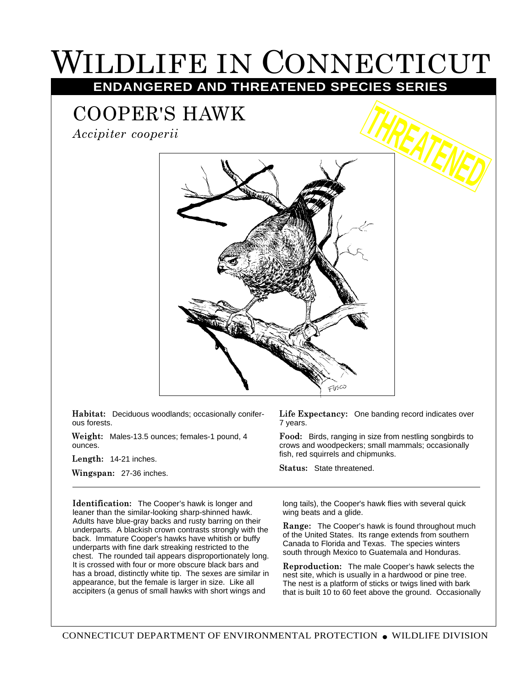## WILDLIFE IN CONNECTICUT

## **ENDANGERED AND THREATENED SPECIES SERIES**

## COOPER'S HAWK

*Accipiter cooperii*



**Habitat:** Deciduous woodlands; occasionally coniferous forests.

**Weight:** Males-13.5 ounces; females-1 pound, 4 ounces.

**Length:** 14-21 inches.

**Wingspan:** 27-36 inches.

**Identification:** The Cooper's hawk is longer and leaner than the similar-looking sharp-shinned hawk. Adults have blue-gray backs and rusty barring on their underparts. A blackish crown contrasts strongly with the back. Immature Cooper's hawks have whitish or buffy underparts with fine dark streaking restricted to the chest. The rounded tail appears disproportionately long. It is crossed with four or more obscure black bars and has a broad, distinctly white tip. The sexes are similar in appearance, but the female is larger in size. Like all accipiters (a genus of small hawks with short wings and

**Life Expectancy:** One banding record indicates over 7 years.

**Food:** Birds, ranging in size from nestling songbirds to crows and woodpeckers; small mammals; occasionally fish, red squirrels and chipmunks.

**Status:** State threatened.

long tails), the Cooper's hawk flies with several quick wing beats and a glide.

**Range:** The Cooper's hawk is found throughout much of the United States. Its range extends from southern Canada to Florida and Texas. The species winters south through Mexico to Guatemala and Honduras.

**Reproduction:** The male Cooper's hawk selects the nest site, which is usually in a hardwood or pine tree. The nest is a platform of sticks or twigs lined with bark that is built 10 to 60 feet above the ground. Occasionally